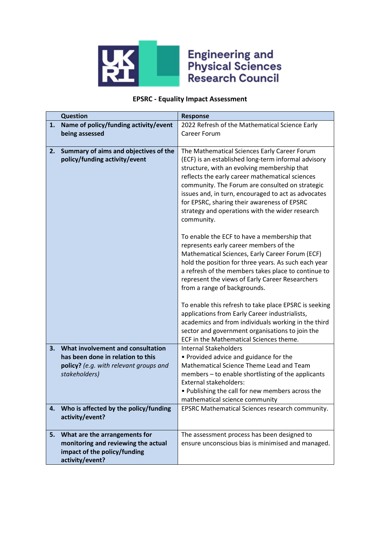

## **Engineering and<br>Physical Sciences<br>Research Council**

## **EPSRC - Equality Impact Assessment**

|    | <b>Question</b>                                                        | <b>Response</b>                                                                                                                                                                                                                                                                                                                                                |
|----|------------------------------------------------------------------------|----------------------------------------------------------------------------------------------------------------------------------------------------------------------------------------------------------------------------------------------------------------------------------------------------------------------------------------------------------------|
| 1. | Name of policy/funding activity/event                                  | 2022 Refresh of the Mathematical Science Early                                                                                                                                                                                                                                                                                                                 |
|    | being assessed                                                         | <b>Career Forum</b>                                                                                                                                                                                                                                                                                                                                            |
|    |                                                                        |                                                                                                                                                                                                                                                                                                                                                                |
| 2. | Summary of aims and objectives of the<br>policy/funding activity/event | The Mathematical Sciences Early Career Forum<br>(ECF) is an established long-term informal advisory<br>structure, with an evolving membership that<br>reflects the early career mathematical sciences<br>community. The Forum are consulted on strategic<br>issues and, in turn, encouraged to act as advocates<br>for EPSRC, sharing their awareness of EPSRC |
|    |                                                                        | strategy and operations with the wider research<br>community.                                                                                                                                                                                                                                                                                                  |
|    |                                                                        | To enable the ECF to have a membership that<br>represents early career members of the<br>Mathematical Sciences, Early Career Forum (ECF)<br>hold the position for three years. As such each year<br>a refresh of the members takes place to continue to<br>represent the views of Early Career Researchers<br>from a range of backgrounds.                     |
|    |                                                                        | To enable this refresh to take place EPSRC is seeking<br>applications from Early Career industrialists,<br>academics and from individuals working in the third<br>sector and government organisations to join the<br>ECF in the Mathematical Sciences theme.                                                                                                   |
| 3. | What involvement and consultation                                      | <b>Internal Stakeholders</b>                                                                                                                                                                                                                                                                                                                                   |
|    | has been done in relation to this                                      | • Provided advice and guidance for the                                                                                                                                                                                                                                                                                                                         |
|    | policy? (e.g. with relevant groups and                                 | Mathematical Science Theme Lead and Team                                                                                                                                                                                                                                                                                                                       |
|    | stakeholders)                                                          | members - to enable shortlisting of the applicants<br><b>External stakeholders:</b>                                                                                                                                                                                                                                                                            |
|    |                                                                        | . Publishing the call for new members across the                                                                                                                                                                                                                                                                                                               |
|    |                                                                        | mathematical science community                                                                                                                                                                                                                                                                                                                                 |
| 4. | Who is affected by the policy/funding<br>activity/event?               | EPSRC Mathematical Sciences research community.                                                                                                                                                                                                                                                                                                                |
| 5. | What are the arrangements for                                          | The assessment process has been designed to                                                                                                                                                                                                                                                                                                                    |
|    | monitoring and reviewing the actual                                    | ensure unconscious bias is minimised and managed.                                                                                                                                                                                                                                                                                                              |
|    | impact of the policy/funding                                           |                                                                                                                                                                                                                                                                                                                                                                |
|    | activity/event?                                                        |                                                                                                                                                                                                                                                                                                                                                                |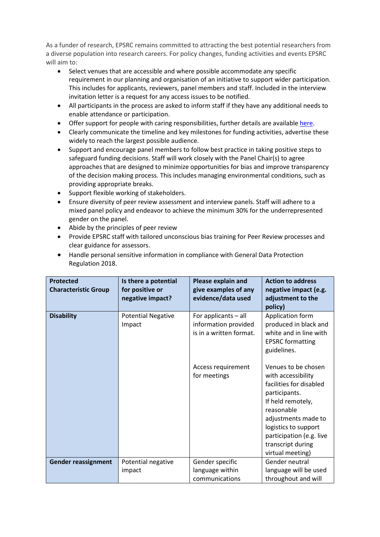As a funder of research, EPSRC remains committed to attracting the best potential researchers from a diverse population into research careers. For policy changes, funding activities and events EPSRC will aim to:

- Select venues that are accessible and where possible accommodate any specific requirement in our planning and organisation of an initiative to support wider participation. This includes for applicants, reviewers, panel members and staff. Included in the interview invitation letter is a request for any access issues to be notified.
- All participants in the process are asked to inform staff if they have any additional needs to enable attendance or participation.
- Offer support for people with caring responsibilities, further details are available [here.](https://epsrc.ukri.org/funding/applicationprocess/basics/caringresponsibilities/)
- Clearly communicate the timeline and key milestones for funding activities, advertise these widely to reach the largest possible audience.
- Support and encourage panel members to follow best practice in taking positive steps to safeguard funding decisions. Staff will work closely with the Panel Chair(s) to agree approaches that are designed to minimize opportunities for bias and improve transparency of the decision making process. This includes managing environmental conditions, such as providing appropriate breaks.
- Support flexible working of stakeholders.
- Ensure diversity of peer review assessment and interview panels. Staff will adhere to a mixed panel policy and endeavor to achieve the minimum 30% for the underrepresented gender on the panel.
- Abide by the principles of peer review

**Gender reassignment** | Potential negative

impact

• Provide EPSRC staff with tailored unconscious bias training for Peer Review processes and clear guidance for assessors.

| Regulation 2018.                                |                                                             |                                                                         |                                                                                                                                                                                                     |
|-------------------------------------------------|-------------------------------------------------------------|-------------------------------------------------------------------------|-----------------------------------------------------------------------------------------------------------------------------------------------------------------------------------------------------|
| <b>Protected</b><br><b>Characteristic Group</b> | Is there a potential<br>for positive or<br>negative impact? | <b>Please explain and</b><br>give examples of any<br>evidence/data used | <b>Action to address</b><br>negative impact (e.g.<br>adjustment to the<br>policy)                                                                                                                   |
| <b>Disability</b>                               | <b>Potential Negative</b><br>Impact                         | For applicants - all<br>information provided<br>is in a written format. | Application form<br>produced in black and<br>white and in line with<br><b>EPSRC</b> formatting<br>guidelines.                                                                                       |
|                                                 |                                                             | Access requirement<br>for meetings                                      | Venues to be chosen<br>with accessibility<br>facilities for disabled<br>participants.<br>If held remotely,<br>reasonable<br>adjustments made to<br>logistics to support<br>participation (e.g. live |

Gender specific language within communications transcript during virtual meeting)

Gender neutral language will be used throughout and will

• Handle personal sensitive information in compliance with General Data Protection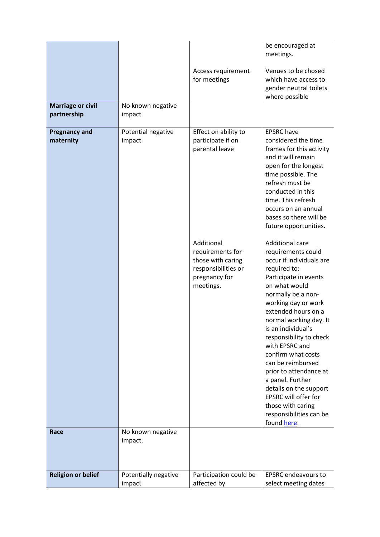|                                         |                                |                                                                                                          | be encouraged at<br>meetings.                                                                                                                                                                                                                                                                                                                                                                                                                                                                                 |
|-----------------------------------------|--------------------------------|----------------------------------------------------------------------------------------------------------|---------------------------------------------------------------------------------------------------------------------------------------------------------------------------------------------------------------------------------------------------------------------------------------------------------------------------------------------------------------------------------------------------------------------------------------------------------------------------------------------------------------|
|                                         |                                | Access requirement<br>for meetings                                                                       | Venues to be chosed<br>which have access to<br>gender neutral toilets<br>where possible                                                                                                                                                                                                                                                                                                                                                                                                                       |
| <b>Marriage or civil</b><br>partnership | No known negative<br>impact    |                                                                                                          |                                                                                                                                                                                                                                                                                                                                                                                                                                                                                                               |
| <b>Pregnancy and</b><br>maternity       | Potential negative<br>impact   | Effect on ability to<br>participate if on<br>parental leave                                              | <b>EPSRC</b> have<br>considered the time<br>frames for this activity<br>and it will remain<br>open for the longest<br>time possible. The<br>refresh must be<br>conducted in this<br>time. This refresh<br>occurs on an annual<br>bases so there will be<br>future opportunities.                                                                                                                                                                                                                              |
|                                         |                                | Additional<br>requirements for<br>those with caring<br>responsibilities or<br>pregnancy for<br>meetings. | <b>Additional care</b><br>requirements could<br>occur if individuals are<br>required to:<br>Participate in events<br>on what would<br>normally be a non-<br>working day or work<br>extended hours on a<br>normal working day. It<br>is an individual's<br>responsibility to check<br>with EPSRC and<br>confirm what costs<br>can be reimbursed<br>prior to attendance at<br>a panel. Further<br>details on the support<br>EPSRC will offer for<br>those with caring<br>responsibilities can be<br>found here. |
| Race                                    | No known negative<br>impact.   |                                                                                                          |                                                                                                                                                                                                                                                                                                                                                                                                                                                                                                               |
|                                         |                                |                                                                                                          |                                                                                                                                                                                                                                                                                                                                                                                                                                                                                                               |
| <b>Religion or belief</b>               | Potentially negative<br>impact | Participation could be<br>affected by                                                                    | <b>EPSRC</b> endeavours to<br>select meeting dates                                                                                                                                                                                                                                                                                                                                                                                                                                                            |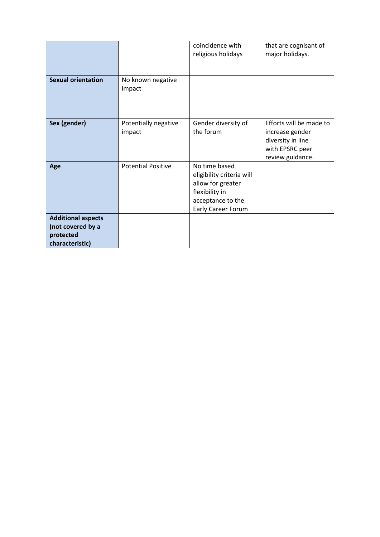|                                                                                |                                | coincidence with<br>religious holidays                                                                                       | that are cognisant of<br>major holidays.                                                               |
|--------------------------------------------------------------------------------|--------------------------------|------------------------------------------------------------------------------------------------------------------------------|--------------------------------------------------------------------------------------------------------|
| <b>Sexual orientation</b>                                                      | No known negative<br>impact    |                                                                                                                              |                                                                                                        |
| Sex (gender)                                                                   | Potentially negative<br>impact | Gender diversity of<br>the forum                                                                                             | Efforts will be made to<br>increase gender<br>diversity in line<br>with EPSRC peer<br>review guidance. |
| Age                                                                            | <b>Potential Positive</b>      | No time based<br>eligibility criteria will<br>allow for greater<br>flexibility in<br>acceptance to the<br>Early Career Forum |                                                                                                        |
| <b>Additional aspects</b><br>(not covered by a<br>protected<br>characteristic) |                                |                                                                                                                              |                                                                                                        |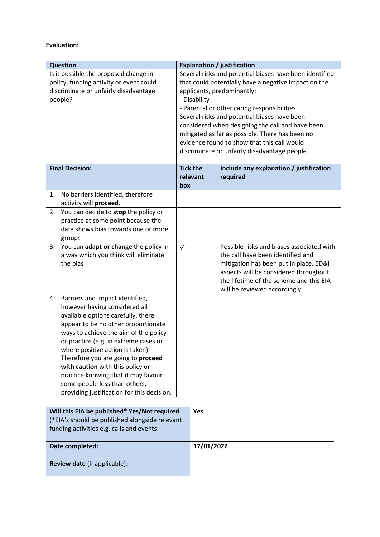## **Evaluation:**

| <b>Question</b>                                                                                                                                                                                                                                                                                                                                                                                                                                                           | <b>Explanation / justification</b>                                                                                                                                                                                                                                                                                                                                                                                                                                  |                                                                                                                                                                                                                                               |  |
|---------------------------------------------------------------------------------------------------------------------------------------------------------------------------------------------------------------------------------------------------------------------------------------------------------------------------------------------------------------------------------------------------------------------------------------------------------------------------|---------------------------------------------------------------------------------------------------------------------------------------------------------------------------------------------------------------------------------------------------------------------------------------------------------------------------------------------------------------------------------------------------------------------------------------------------------------------|-----------------------------------------------------------------------------------------------------------------------------------------------------------------------------------------------------------------------------------------------|--|
| Is it possible the proposed change in<br>policy, funding activity or event could<br>discriminate or unfairly disadvantage<br>people?                                                                                                                                                                                                                                                                                                                                      | Several risks and potential biases have been identified<br>that could potentially have a negative impact on the<br>applicants, predominantly:<br>- Disability<br>- Parental or other caring responsibilities<br>Several risks and potential biases have been<br>considered when designing the call and have been<br>mitigated as far as possible. There has been no<br>evidence found to show that this call would<br>discriminate or unfairly disadvantage people. |                                                                                                                                                                                                                                               |  |
| <b>Final Decision:</b>                                                                                                                                                                                                                                                                                                                                                                                                                                                    | <b>Tick the</b><br>relevant<br>box                                                                                                                                                                                                                                                                                                                                                                                                                                  | Include any explanation / justification<br>required                                                                                                                                                                                           |  |
| No barriers identified, therefore<br>1.<br>activity will proceed.                                                                                                                                                                                                                                                                                                                                                                                                         |                                                                                                                                                                                                                                                                                                                                                                                                                                                                     |                                                                                                                                                                                                                                               |  |
| You can decide to stop the policy or<br>2.<br>practice at some point because the<br>data shows bias towards one or more<br>groups                                                                                                                                                                                                                                                                                                                                         |                                                                                                                                                                                                                                                                                                                                                                                                                                                                     |                                                                                                                                                                                                                                               |  |
| You can adapt or change the policy in<br>3.<br>a way which you think will eliminate<br>the bias                                                                                                                                                                                                                                                                                                                                                                           | $\checkmark$                                                                                                                                                                                                                                                                                                                                                                                                                                                        | Possible risks and biases associated with<br>the call have been identified and<br>mitigation has been put in place. ED&I<br>aspects will be considered throughout<br>the lifetime of the scheme and this EIA<br>will be reviewed accordingly. |  |
| Barriers and impact identified,<br>4.<br>however having considered all<br>available options carefully, there<br>appear to be no other proportionate<br>ways to achieve the aim of the policy<br>or practice (e.g. in extreme cases or<br>where positive action is taken).<br>Therefore you are going to proceed<br>with caution with this policy or<br>practice knowing that it may favour<br>some people less than others,<br>providing justification for this decision. |                                                                                                                                                                                                                                                                                                                                                                                                                                                                     |                                                                                                                                                                                                                                               |  |
| Will this EIA be published* Yes/Not required<br>Yes<br>(*EIA's should be published alongside relevant<br>funding activities e.g. calls and events:                                                                                                                                                                                                                                                                                                                        |                                                                                                                                                                                                                                                                                                                                                                                                                                                                     |                                                                                                                                                                                                                                               |  |

| Date completed:                     | 17/01/2022 |
|-------------------------------------|------------|
|                                     |            |
| <b>Review date (if applicable):</b> |            |
|                                     |            |